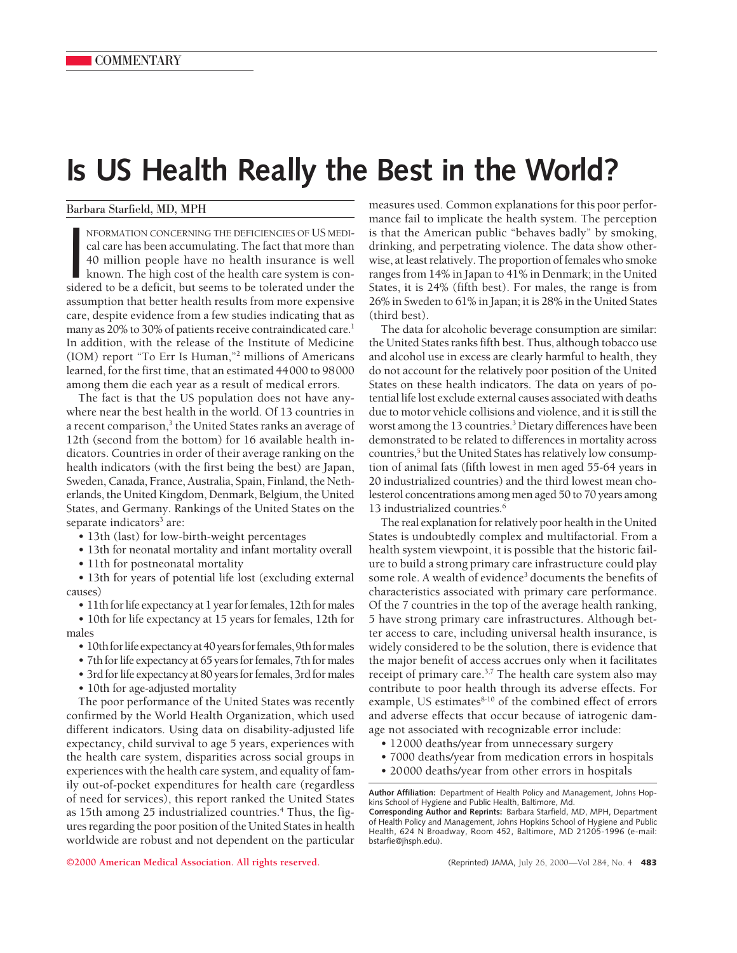# **Is US Health Really the Best in the World?**

### Barbara Starfield, MD, MPH

NEORMATION CONCERNING THE DEFICIENCIES OF US MEDI-<br>cal care has been accumulating. The fact that more than<br>40 million people have no health insurance is well<br>known. The high cost of the health care system is con-<br>sidered t NFORMATION CONCERNING THE DEFICIENCIES OF US MEDIcal care has been accumulating. The fact that more than 40 million people have no health insurance is well known. The high cost of the health care system is conassumption that better health results from more expensive care, despite evidence from a few studies indicating that as many as 20% to 30% of patients receive contraindicated care.<sup>1</sup> In addition, with the release of the Institute of Medicine (IOM) report "To Err Is Human,"2 millions of Americans learned, for the first time, that an estimated 44000 to 98000 among them die each year as a result of medical errors.

The fact is that the US population does not have anywhere near the best health in the world. Of 13 countries in a recent comparison.<sup>3</sup> the United States ranks an average of 12th (second from the bottom) for 16 available health indicators. Countries in order of their average ranking on the health indicators (with the first being the best) are Japan, Sweden, Canada, France, Australia, Spain, Finland, the Netherlands, the United Kingdom, Denmark, Belgium, the United States, and Germany. Rankings of the United States on the separate indicators<sup>3</sup> are:

• 13th (last) for low-birth-weight percentages

• 13th for neonatal mortality and infant mortality overall

• 11th for postneonatal mortality

• 13th for years of potential life lost (excluding external causes)

• 11th for life expectancy at 1 year for females, 12th for males

• 10th for life expectancy at 15 years for females, 12th for males

• 10th for life expectancy at 40 years for females, 9th for males

• 7th for life expectancy at 65 years for females, 7th for males

• 3rd for life expectancy at 80 years for females, 3rd for males

• 10th for age-adjusted mortality

The poor performance of the United States was recently confirmed by the World Health Organization, which used different indicators. Using data on disability-adjusted life expectancy, child survival to age 5 years, experiences with the health care system, disparities across social groups in experiences with the health care system, and equality of family out-of-pocket expenditures for health care (regardless of need for services), this report ranked the United States as 15th among 25 industrialized countries.<sup>4</sup> Thus, the figures regarding the poor position of the United States in health worldwide are robust and not dependent on the particular

measures used. Common explanations for this poor performance fail to implicate the health system. The perception is that the American public "behaves badly" by smoking, drinking, and perpetrating violence. The data show otherwise, at least relatively. The proportion of females who smoke ranges from 14% in Japan to 41% in Denmark; in the United States, it is 24% (fifth best). For males, the range is from 26% in Sweden to 61% in Japan; it is 28% in the United States (third best).

The data for alcoholic beverage consumption are similar: the United States ranks fifth best. Thus, although tobacco use and alcohol use in excess are clearly harmful to health, they do not account for the relatively poor position of the United States on these health indicators. The data on years of potential life lost exclude external causes associated with deaths due to motor vehicle collisions and violence, and it is still the worst among the 13 countries.<sup>3</sup> Dietary differences have been demonstrated to be related to differences in mortality across countries,<sup>5</sup> but the United States has relatively low consumption of animal fats (fifth lowest in men aged 55-64 years in 20 industrialized countries) and the third lowest mean cholesterol concentrations among men aged 50 to 70 years among 13 industrialized countries.<sup>6</sup>

The real explanation for relatively poor health in the United States is undoubtedly complex and multifactorial. From a health system viewpoint, it is possible that the historic failure to build a strong primary care infrastructure could play some role. A wealth of evidence<sup>3</sup> documents the benefits of characteristics associated with primary care performance. Of the 7 countries in the top of the average health ranking, 5 have strong primary care infrastructures. Although better access to care, including universal health insurance, is widely considered to be the solution, there is evidence that the major benefit of access accrues only when it facilitates receipt of primary care.<sup>3,7</sup> The health care system also may contribute to poor health through its adverse effects. For example, US estimates<sup>8-10</sup> of the combined effect of errors and adverse effects that occur because of iatrogenic damage not associated with recognizable error include:

• 12000 deaths/year from unnecessary surgery

bstarfie@jhsph.edu).

- 7000 deaths/year from medication errors in hospitals
- 20000 deaths/year from other errors in hospitals

**©2000 American Medical Association. All rights reserved.** (Reprinted) JAMA, July 26, 2000—Vol 284, No. 4 **483**

**Author Affiliation:** Department of Health Policy and Management, Johns Hopkins School of Hygiene and Public Health, Baltimore, Md. **Corresponding Author and Reprints:** Barbara Starfield, MD, MPH, Department of Health Policy and Management, Johns Hopkins School of Hygiene and Public Health, 624 N Broadway, Room 452, Baltimore, MD 21205-1996 (e-mail: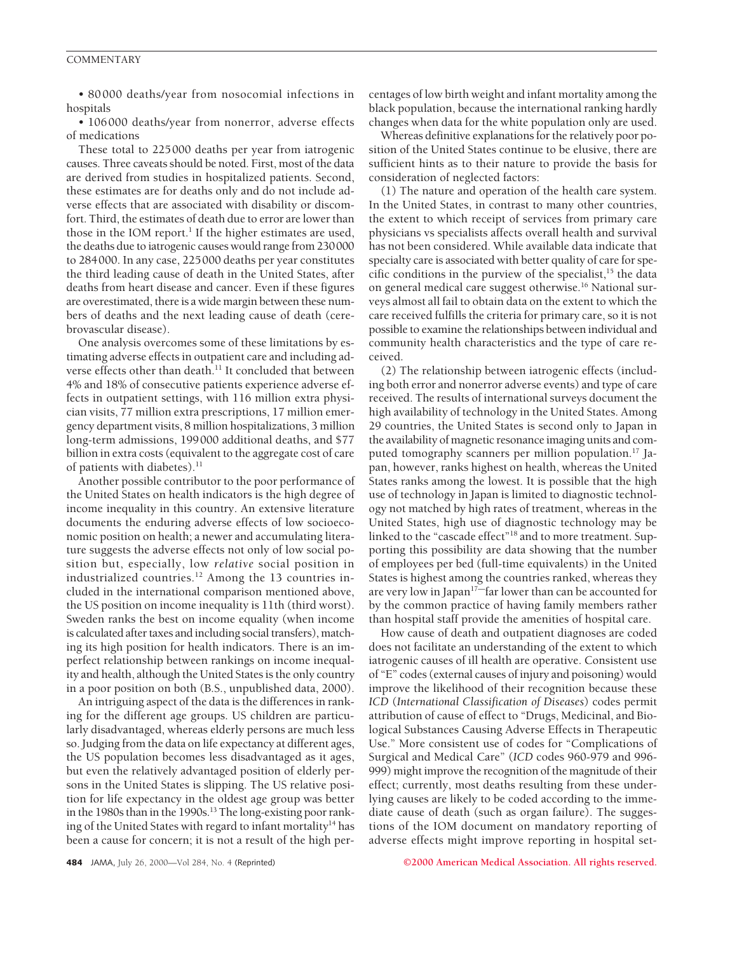### COMMENTARY

• 80000 deaths/year from nosocomial infections in hospitals

• 106000 deaths/year from nonerror, adverse effects of medications

These total to 225000 deaths per year from iatrogenic causes. Three caveats should be noted. First, most of the data are derived from studies in hospitalized patients. Second, these estimates are for deaths only and do not include adverse effects that are associated with disability or discomfort. Third, the estimates of death due to error are lower than those in the IOM report.<sup>1</sup> If the higher estimates are used, the deaths due to iatrogenic causes would range from 230000 to 284000. In any case, 225000 deaths per year constitutes the third leading cause of death in the United States, after deaths from heart disease and cancer. Even if these figures are overestimated, there is a wide margin between these numbers of deaths and the next leading cause of death (cerebrovascular disease).

One analysis overcomes some of these limitations by estimating adverse effects in outpatient care and including adverse effects other than death.<sup>11</sup> It concluded that between 4% and 18% of consecutive patients experience adverse effects in outpatient settings, with 116 million extra physician visits, 77 million extra prescriptions, 17 million emergency department visits, 8 million hospitalizations, 3 million long-term admissions, 199000 additional deaths, and \$77 billion in extra costs (equivalent to the aggregate cost of care of patients with diabetes).<sup>11</sup>

Another possible contributor to the poor performance of the United States on health indicators is the high degree of income inequality in this country. An extensive literature documents the enduring adverse effects of low socioeconomic position on health; a newer and accumulating literature suggests the adverse effects not only of low social position but, especially, low *relative* social position in industrialized countries.<sup>12</sup> Among the 13 countries included in the international comparison mentioned above, the US position on income inequality is 11th (third worst). Sweden ranks the best on income equality (when income is calculated after taxes and including social transfers), matching its high position for health indicators. There is an imperfect relationship between rankings on income inequality and health, although the United States is the only country in a poor position on both (B.S., unpublished data, 2000).

An intriguing aspect of the data is the differences in ranking for the different age groups. US children are particularly disadvantaged, whereas elderly persons are much less so. Judging from the data on life expectancy at different ages, the US population becomes less disadvantaged as it ages, but even the relatively advantaged position of elderly persons in the United States is slipping. The US relative position for life expectancy in the oldest age group was better in the 1980s than in the 1990s.<sup>13</sup> The long-existing poor ranking of the United States with regard to infant mortality<sup>14</sup> has been a cause for concern; it is not a result of the high percentages of low birth weight and infant mortality among the black population, because the international ranking hardly changes when data for the white population only are used.

Whereas definitive explanations for the relatively poor position of the United States continue to be elusive, there are sufficient hints as to their nature to provide the basis for consideration of neglected factors:

(1) The nature and operation of the health care system. In the United States, in contrast to many other countries, the extent to which receipt of services from primary care physicians vs specialists affects overall health and survival has not been considered. While available data indicate that specialty care is associated with better quality of care for specific conditions in the purview of the specialist, $15$  the data on general medical care suggest otherwise.<sup>16</sup> National surveys almost all fail to obtain data on the extent to which the care received fulfills the criteria for primary care, so it is not possible to examine the relationships between individual and community health characteristics and the type of care received.

(2) The relationship between iatrogenic effects (including both error and nonerror adverse events) and type of care received. The results of international surveys document the high availability of technology in the United States. Among 29 countries, the United States is second only to Japan in the availability of magnetic resonance imaging units and computed tomography scanners per million population.17 Japan, however, ranks highest on health, whereas the United States ranks among the lowest. It is possible that the high use of technology in Japan is limited to diagnostic technology not matched by high rates of treatment, whereas in the United States, high use of diagnostic technology may be linked to the "cascade effect"<sup>18</sup> and to more treatment. Supporting this possibility are data showing that the number of employees per bed (full-time equivalents) in the United States is highest among the countries ranked, whereas they are very low in Japan<sup>17--</sup>far lower than can be accounted for by the common practice of having family members rather than hospital staff provide the amenities of hospital care.

How cause of death and outpatient diagnoses are coded does not facilitate an understanding of the extent to which iatrogenic causes of ill health are operative. Consistent use of "E" codes (external causes of injury and poisoning) would improve the likelihood of their recognition because these *ICD* (*International Classification of Diseases*) codes permit attribution of cause of effect to "Drugs, Medicinal, and Biological Substances Causing Adverse Effects in Therapeutic Use." More consistent use of codes for "Complications of Surgical and Medical Care" (*ICD* codes 960-979 and 996- 999) might improve the recognition of the magnitude of their effect; currently, most deaths resulting from these underlying causes are likely to be coded according to the immediate cause of death (such as organ failure). The suggestions of the IOM document on mandatory reporting of adverse effects might improve reporting in hospital set